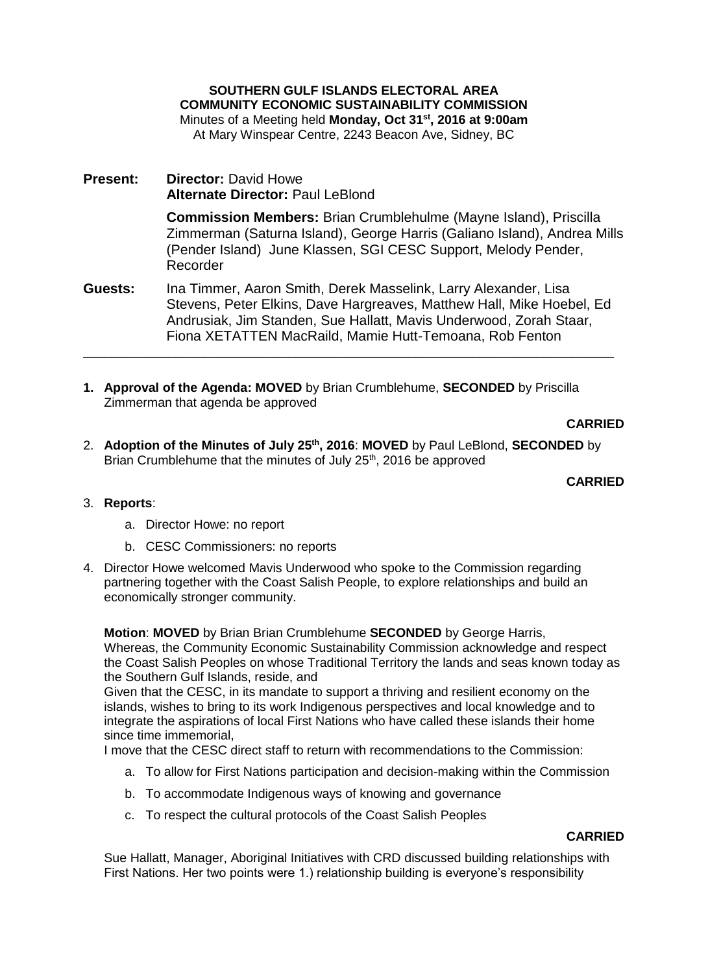**SOUTHERN GULF ISLANDS ELECTORAL AREA COMMUNITY ECONOMIC SUSTAINABILITY COMMISSION** Minutes of a Meeting held **Monday, Oct 31st, 2016 at 9:00am** At Mary Winspear Centre, 2243 Beacon Ave, Sidney, BC

**Present: Director:** David Howe **Alternate Director:** Paul LeBlond

> **Commission Members:** Brian Crumblehulme (Mayne Island), Priscilla Zimmerman (Saturna Island), George Harris (Galiano Island), Andrea Mills (Pender Island) June Klassen, SGI CESC Support, Melody Pender, Recorder

**Guests:** Ina Timmer, Aaron Smith, Derek Masselink, Larry Alexander, Lisa Stevens, Peter Elkins, Dave Hargreaves, Matthew Hall, Mike Hoebel, Ed Andrusiak, Jim Standen, Sue Hallatt, Mavis Underwood, Zorah Staar, Fiona XETATTEN MacRaild, Mamie Hutt-Temoana, Rob Fenton

\_\_\_\_\_\_\_\_\_\_\_\_\_\_\_\_\_\_\_\_\_\_\_\_\_\_\_\_\_\_\_\_\_\_\_\_\_\_\_\_\_\_\_\_\_\_\_\_\_\_\_\_\_\_\_\_\_\_\_\_\_\_\_\_\_\_\_\_\_\_\_\_\_\_\_

**1. Approval of the Agenda: MOVED** by Brian Crumblehume, **SECONDED** by Priscilla Zimmerman that agenda be approved

# **CARRIED**

2. **Adoption of the Minutes of July 25th, 2016**: **MOVED** by Paul LeBlond, **SECONDED** by Brian Crumblehume that the minutes of July 25<sup>th</sup>, 2016 be approved

## **CARRIED**

# 3. **Reports**:

- a. Director Howe: no report
- b. CESC Commissioners: no reports
- 4. Director Howe welcomed Mavis Underwood who spoke to the Commission regarding partnering together with the Coast Salish People, to explore relationships and build an economically stronger community.

**Motion**: **MOVED** by Brian Brian Crumblehume **SECONDED** by George Harris, Whereas, the Community Economic Sustainability Commission acknowledge and respect the Coast Salish Peoples on whose Traditional Territory the lands and seas known today as the Southern Gulf Islands, reside, and

Given that the CESC, in its mandate to support a thriving and resilient economy on the islands, wishes to bring to its work Indigenous perspectives and local knowledge and to integrate the aspirations of local First Nations who have called these islands their home since time immemorial,

I move that the CESC direct staff to return with recommendations to the Commission:

- a. To allow for First Nations participation and decision-making within the Commission
- b. To accommodate Indigenous ways of knowing and governance
- c. To respect the cultural protocols of the Coast Salish Peoples

# **CARRIED**

Sue Hallatt, Manager, Aboriginal Initiatives with CRD discussed building relationships with First Nations. Her two points were 1.) relationship building is everyone's responsibility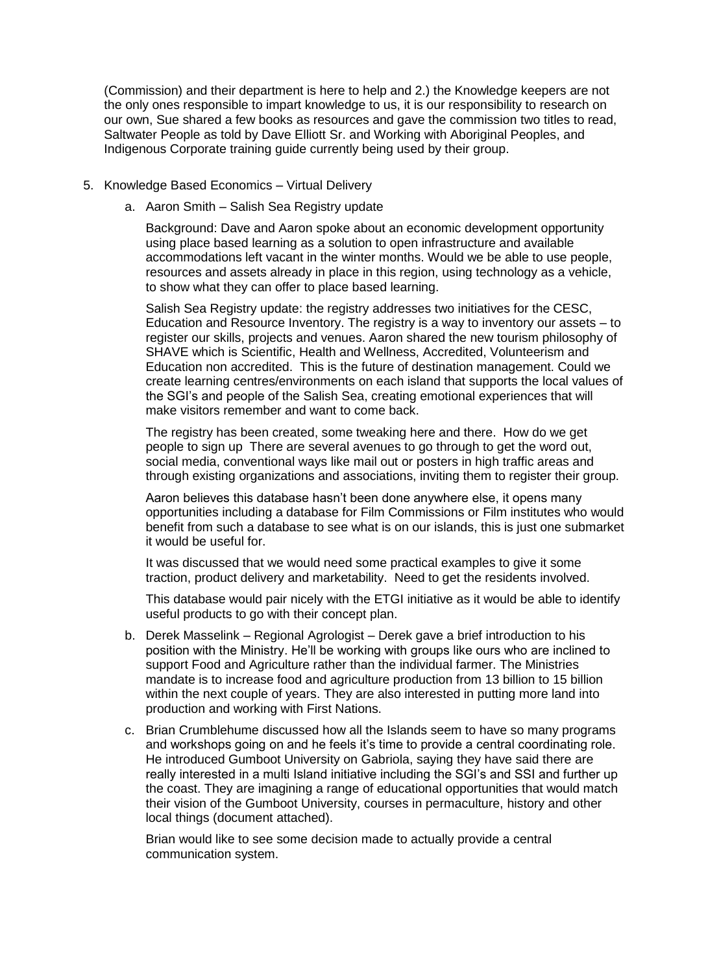(Commission) and their department is here to help and 2.) the Knowledge keepers are not the only ones responsible to impart knowledge to us, it is our responsibility to research on our own, Sue shared a few books as resources and gave the commission two titles to read, Saltwater People as told by Dave Elliott Sr. and Working with Aboriginal Peoples, and Indigenous Corporate training guide currently being used by their group.

- 5. Knowledge Based Economics Virtual Delivery
	- a. Aaron Smith Salish Sea Registry update

Background: Dave and Aaron spoke about an economic development opportunity using place based learning as a solution to open infrastructure and available accommodations left vacant in the winter months. Would we be able to use people, resources and assets already in place in this region, using technology as a vehicle, to show what they can offer to place based learning.

Salish Sea Registry update: the registry addresses two initiatives for the CESC, Education and Resource Inventory. The registry is a way to inventory our assets – to register our skills, projects and venues. Aaron shared the new tourism philosophy of SHAVE which is Scientific, Health and Wellness, Accredited, Volunteerism and Education non accredited. This is the future of destination management. Could we create learning centres/environments on each island that supports the local values of the SGI's and people of the Salish Sea, creating emotional experiences that will make visitors remember and want to come back.

The registry has been created, some tweaking here and there. How do we get people to sign up There are several avenues to go through to get the word out, social media, conventional ways like mail out or posters in high traffic areas and through existing organizations and associations, inviting them to register their group.

Aaron believes this database hasn't been done anywhere else, it opens many opportunities including a database for Film Commissions or Film institutes who would benefit from such a database to see what is on our islands, this is just one submarket it would be useful for.

It was discussed that we would need some practical examples to give it some traction, product delivery and marketability. Need to get the residents involved.

This database would pair nicely with the ETGI initiative as it would be able to identify useful products to go with their concept plan.

- b. Derek Masselink Regional Agrologist Derek gave a brief introduction to his position with the Ministry. He'll be working with groups like ours who are inclined to support Food and Agriculture rather than the individual farmer. The Ministries mandate is to increase food and agriculture production from 13 billion to 15 billion within the next couple of years. They are also interested in putting more land into production and working with First Nations.
- c. Brian Crumblehume discussed how all the Islands seem to have so many programs and workshops going on and he feels it's time to provide a central coordinating role. He introduced Gumboot University on Gabriola, saying they have said there are really interested in a multi Island initiative including the SGI's and SSI and further up the coast. They are imagining a range of educational opportunities that would match their vision of the Gumboot University, courses in permaculture, history and other local things (document attached).

Brian would like to see some decision made to actually provide a central communication system.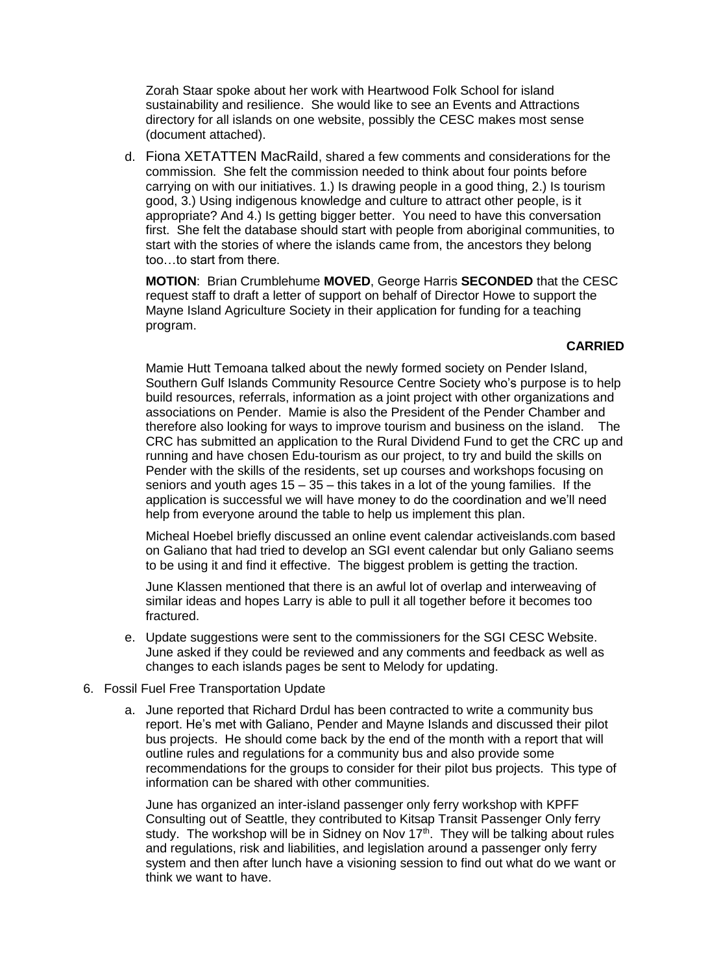Zorah Staar spoke about her work with Heartwood Folk School for island sustainability and resilience. She would like to see an Events and Attractions directory for all islands on one website, possibly the CESC makes most sense (document attached).

d. Fiona XETATTEN MacRaild, shared a few comments and considerations for the commission. She felt the commission needed to think about four points before carrying on with our initiatives. 1.) Is drawing people in a good thing, 2.) Is tourism good, 3.) Using indigenous knowledge and culture to attract other people, is it appropriate? And 4.) Is getting bigger better. You need to have this conversation first. She felt the database should start with people from aboriginal communities, to start with the stories of where the islands came from, the ancestors they belong too…to start from there.

**MOTION**: Brian Crumblehume **MOVED**, George Harris **SECONDED** that the CESC request staff to draft a letter of support on behalf of Director Howe to support the Mayne Island Agriculture Society in their application for funding for a teaching program.

## **CARRIED**

Mamie Hutt Temoana talked about the newly formed society on Pender Island, Southern Gulf Islands Community Resource Centre Society who's purpose is to help build resources, referrals, information as a joint project with other organizations and associations on Pender. Mamie is also the President of the Pender Chamber and therefore also looking for ways to improve tourism and business on the island. The CRC has submitted an application to the Rural Dividend Fund to get the CRC up and running and have chosen Edu-tourism as our project, to try and build the skills on Pender with the skills of the residents, set up courses and workshops focusing on seniors and youth ages  $15 - 35 -$  this takes in a lot of the young families. If the application is successful we will have money to do the coordination and we'll need help from everyone around the table to help us implement this plan.

Micheal Hoebel briefly discussed an online event calendar activeislands.com based on Galiano that had tried to develop an SGI event calendar but only Galiano seems to be using it and find it effective. The biggest problem is getting the traction.

June Klassen mentioned that there is an awful lot of overlap and interweaving of similar ideas and hopes Larry is able to pull it all together before it becomes too fractured.

e. Update suggestions were sent to the commissioners for the SGI CESC Website. June asked if they could be reviewed and any comments and feedback as well as changes to each islands pages be sent to Melody for updating.

### 6. Fossil Fuel Free Transportation Update

a. June reported that Richard Drdul has been contracted to write a community bus report. He's met with Galiano, Pender and Mayne Islands and discussed their pilot bus projects. He should come back by the end of the month with a report that will outline rules and regulations for a community bus and also provide some recommendations for the groups to consider for their pilot bus projects. This type of information can be shared with other communities.

June has organized an inter-island passenger only ferry workshop with KPFF Consulting out of Seattle, they contributed to Kitsap Transit Passenger Only ferry study. The workshop will be in Sidney on Nov  $17<sup>th</sup>$ . They will be talking about rules and regulations, risk and liabilities, and legislation around a passenger only ferry system and then after lunch have a visioning session to find out what do we want or think we want to have.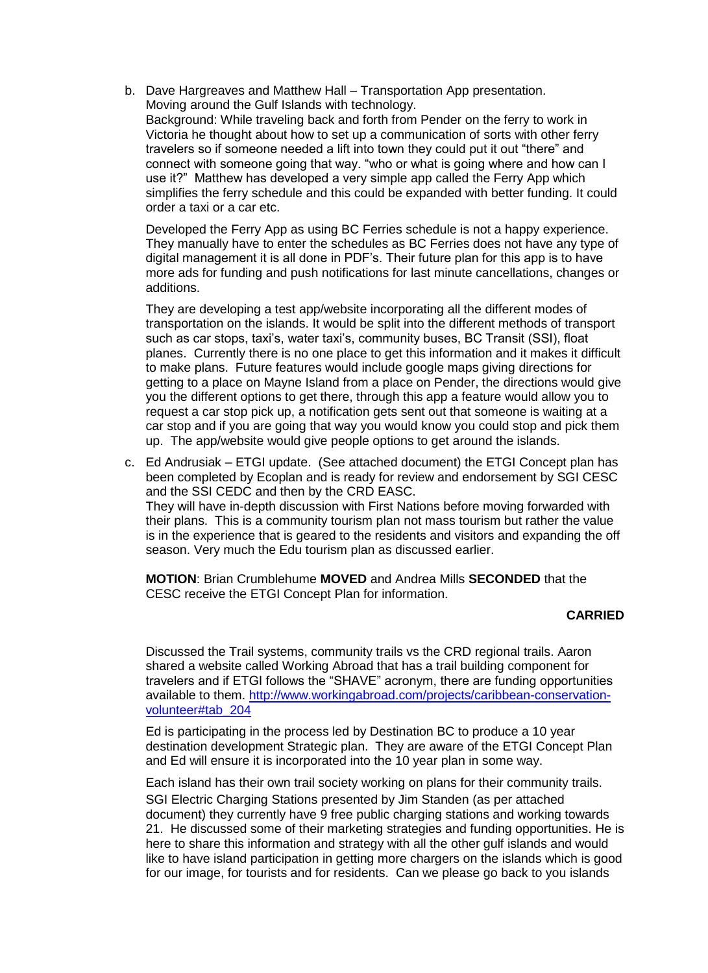b. Dave Hargreaves and Matthew Hall – Transportation App presentation. Moving around the Gulf Islands with technology. Background: While traveling back and forth from Pender on the ferry to work in Victoria he thought about how to set up a communication of sorts with other ferry travelers so if someone needed a lift into town they could put it out "there" and connect with someone going that way. "who or what is going where and how can I use it?" Matthew has developed a very simple app called the Ferry App which simplifies the ferry schedule and this could be expanded with better funding. It could order a taxi or a car etc.

Developed the Ferry App as using BC Ferries schedule is not a happy experience. They manually have to enter the schedules as BC Ferries does not have any type of digital management it is all done in PDF's. Their future plan for this app is to have more ads for funding and push notifications for last minute cancellations, changes or additions.

They are developing a test app/website incorporating all the different modes of transportation on the islands. It would be split into the different methods of transport such as car stops, taxi's, water taxi's, community buses, BC Transit (SSI), float planes. Currently there is no one place to get this information and it makes it difficult to make plans. Future features would include google maps giving directions for getting to a place on Mayne Island from a place on Pender, the directions would give you the different options to get there, through this app a feature would allow you to request a car stop pick up, a notification gets sent out that someone is waiting at a car stop and if you are going that way you would know you could stop and pick them up. The app/website would give people options to get around the islands.

c. Ed Andrusiak – ETGI update. (See attached document) the ETGI Concept plan has been completed by Ecoplan and is ready for review and endorsement by SGI CESC and the SSI CEDC and then by the CRD EASC. They will have in-depth discussion with First Nations before moving forwarded with their plans. This is a community tourism plan not mass tourism but rather the value is in the experience that is geared to the residents and visitors and expanding the off season. Very much the Edu tourism plan as discussed earlier.

**MOTION**: Brian Crumblehume **MOVED** and Andrea Mills **SECONDED** that the CESC receive the ETGI Concept Plan for information.

### **CARRIED**

Discussed the Trail systems, community trails vs the CRD regional trails. Aaron shared a website called Working Abroad that has a trail building component for travelers and if ETGI follows the "SHAVE" acronym, there are funding opportunities available to them. [http://www.workingabroad.com/projects/caribbean-conservation](http://www.workingabroad.com/projects/caribbean-conservation-volunteer#tab_204)[volunteer#tab\\_204](http://www.workingabroad.com/projects/caribbean-conservation-volunteer#tab_204)

Ed is participating in the process led by Destination BC to produce a 10 year destination development Strategic plan. They are aware of the ETGI Concept Plan and Ed will ensure it is incorporated into the 10 year plan in some way.

Each island has their own trail society working on plans for their community trails. SGI Electric Charging Stations presented by Jim Standen (as per attached document) they currently have 9 free public charging stations and working towards 21. He discussed some of their marketing strategies and funding opportunities. He is here to share this information and strategy with all the other gulf islands and would like to have island participation in getting more chargers on the islands which is good for our image, for tourists and for residents. Can we please go back to you islands